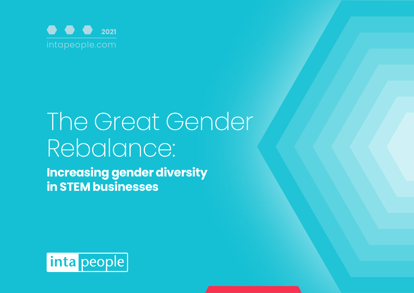

# The Great Gender Rebalance:

**Increasing gender diversity in STEM businesses**

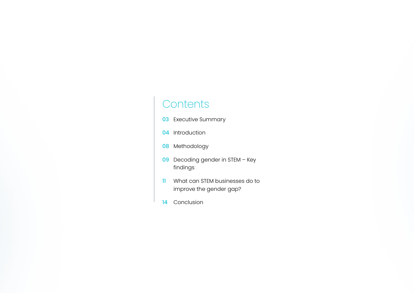## **Contents**

- **03** Executive Summary
- 04 Introduction
- 08 Methodology
- 09 Decoding gender in STEM Key findings
- 11 What can STEM businesses do to improve the gender gap?
- 14 Conclusion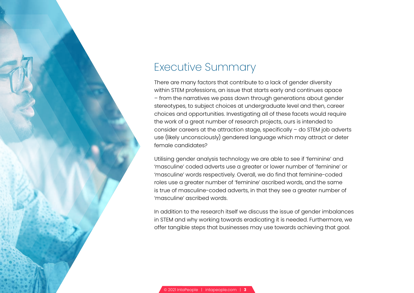

## Executive Summary

There are many factors that contribute to a lack of gender diversity within STEM professions, an issue that starts early and continues apace – from the narratives we pass down through generations about gender stereotypes, to subject choices at undergraduate level and then, career choices and opportunities. Investigating all of these facets would require the work of a great number of research projects, ours is intended to consider careers at the attraction stage, specifically – do STEM job adverts use (likely unconsciously) gendered language which may attract or deter female candidates?

Utilising gender analysis technology we are able to see if 'feminine' and 'masculine' coded adverts use a greater or lower number of 'feminine' or 'masculine' words respectively. Overall, we do find that feminine-coded roles use a greater number of 'feminine' ascribed words, and the same is true of masculine-coded adverts, in that they see a greater number of 'masculine' ascribed words.

In addition to the research itself we discuss the issue of gender imbalances in STEM and why working towards eradicating it is needed. Furthermore, we offer tangible steps that businesses may use towards achieving that goal.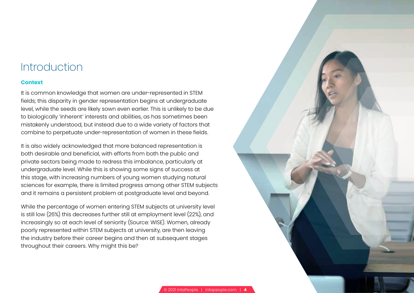### Introduction

#### **Context**

It is common knowledge that women are under-represented in STEM fields; this disparity in gender representation begins at undergraduate level, while the seeds are likely sown even earlier. This is unlikely to be due to biologically 'inherent' interests and abilities, as has sometimes been mistakenly understood, but instead due to a wide variety of factors that combine to perpetuate under-representation of women in these fields.

It is also widely acknowledged that more balanced representation is both desirable and beneficial, with efforts from both the public and private sectors being made to redress this imbalance, particularly at undergraduate level. While this is showing some signs of success at this stage, with increasing numbers of young women studying natural sciences for example, there is limited progress among other STEM subjects and it remains a persistent problem at postgraduate level and beyond.

While the percentage of women entering STEM subjects at university level is still low (26%) this decreases further still at employment level (22%), and increasingly so at each level of seniority (Source: WISE). Women, already poorly represented within STEM subjects at university, are then leaving the industry before their career begins and then at subsequent stages throughout their careers. Why might this be?

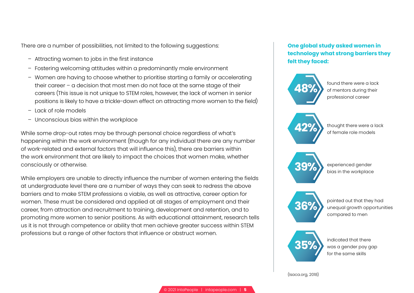There are a number of possibilities, not limited to the following suggestions:

- Attracting women to jobs in the first instance
- Fostering welcoming attitudes within a predominantly male environment
- Women are having to choose whether to prioritise starting a family or accelerating their career – a decision that most men do not face at the same stage of their careers (This issue is not unique to STEM roles, however, the lack of women in senior positions is likely to have a trickle-down effect on attracting more women to the field)
- Lack of role models
- Unconscious bias within the workplace

While some drop-out rates may be through personal choice regardless of what's happening within the work environment (though for any individual there are any number of work-related and external factors that will influence this), there are barriers within the work environment that are likely to impact the choices that women make, whether consciously or otherwise.

While employers are unable to directly influence the number of women entering the fields at undergraduate level there are a number of ways they can seek to redress the above barriers and to make STEM professions a viable, as well as attractive, career option for women. These must be considered and applied at all stages of employment and their career, from attraction and recruitment to training, development and retention, and to promoting more women to senior positions. As with educational attainment, research tells us it is not through competence or ability that men achieve greater success within STEM professions but a range of other factors that influence or obstruct women.

### **One global study asked women in technology what strong barriers they felt they faced:**



found there were a lack of mentors during their professional career



**42%**  $\longrightarrow$  thought there were a lack of female role models



**39%** experienced gender bias in the workplace



**36%** pointed out that they had compared to men



**35%** was a gender pay gap for the same skills

(Isaca.org, 2018)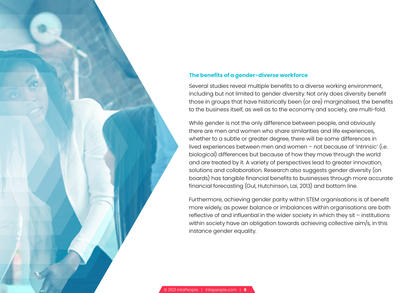### **The benefits of a gender-diverse workforce**

Several studies reveal multiple benefits to a diverse working environment, including but not limited to gender diversity. Not only does diversity benefit those in groups that have historically been (or are) marginalised, the benefits to the business itself, as well as to the economy and society, are multi-fold.

While gender is not the only difference between people, and obviously there are men and women who share similarities and life experiences, whether to a subtle or greater degree, there will be some differences in lived experiences between men and women – not because of 'intrinsic' (i.e. biological) differences but because of how they move through the world and are treated by it. A variety of perspectives lead to greater innovation, solutions and collaboration. Research also suggests gender diversity (on boards) has tangible financial benefits to businesses through more accurate financial forecasting (Gul, Hutchinson, Lai, 2013) and bottom line.

Furthermore, achieving gender parity within STEM organisations is of benefit more widely, as power balance or imbalances within organisations are both reflective of and influential in the wider society in which they sit – institutions within society have an obligation towards achieving collective aim/s, in this instance gender equality.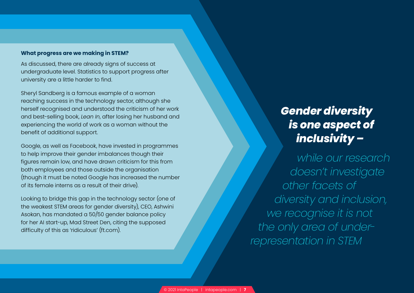### **What progress are we making in STEM?**

As discussed, there are already signs of success at undergraduate level. Statistics to support progress after university are a little harder to find.

Sheryl Sandberg is a famous example of a woman reaching success in the technology sector, although she herself recognised and understood the criticism of her work and best-selling book, *Lean In*, after losing her husband and experiencing the world of work as a woman without the benefit of additional support.

Google, as well as Facebook, have invested in programmes to help improve their gender imbalances though their figures remain low, and have drawn criticism for this from both employees and those outside the organisation (though it must be noted Google has increased the number of its female interns as a result of their drive).

Looking to bridge this gap in the technology sector (one of the weakest STEM areas for gender diversity), CEO, Ashwini Asokan, has mandated a 50/50 gender balance policy for her AI start-up, Mad Street Den, citing the supposed difficulty of this as 'ridiculous' (ft.com).

# *Gender diversity is one aspect of inclusivity –*

*while our research doesn't investigate other facets of diversity and inclusion, we recognise it is not the only area of underrepresentation in STEM*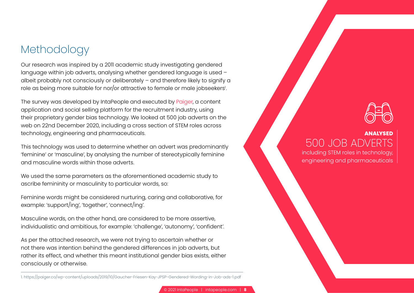### Methodology

Our research was inspired by a 2011 academic study investigating gendered language within job adverts, analysing whether gendered language is used – albeit probably not consciously or deliberately – and therefore likely to signify a role as being more suitable for nor/or attractive to female or male jobseekers'.

The survey was developed by IntaPeople and executed by [Paiger,](http://paiger.co) a content application and social selling platform for the recruitment industry, using their proprietary gender bias technology. We looked at 500 job adverts on the web on 22nd December 2020, including a cross section of STEM roles across technology, engineering and pharmaceuticals.

This technology was used to determine whether an advert was predominantly 'feminine' or 'masculine', by analysing the number of stereotypically feminine and masculine words within those adverts.

We used the same parameters as the aforementioned academic study to ascribe femininity or masculinity to particular words, so:

Feminine words might be considered nurturing, caring and collaborative, for example: 'support/ing', 'together', 'connect/ing'.

Masculine words, on the other hand, are considered to be more assertive, individualistic and ambitious, for example: 'challenge', 'autonomy', 'confident'.

As per the attached research, we were not trying to ascertain whether or not there was intention behind the gendered differences in job adverts, but rather its effect, and whether this meant institutional gender bias exists, either consciously or otherwise.

[1. https://paiger.co/wp-content/uploads/2019/10/Gaucher-Friesen-Kay-JPSP-Gendered-Wording-in-Job-ads-1.pdf](https://paiger.co/wp-content/uploads/2021/01/gender-bias-in-job-adverts.pdf)



### **ANALYSED** 500 JOB ADVERTS

including STEM roles in technology, engineering and pharmaceuticals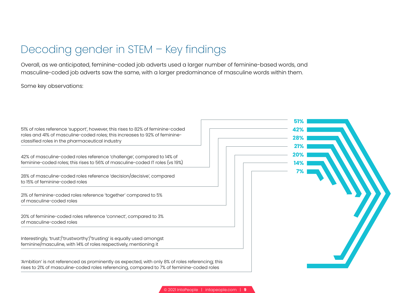# Decoding gender in STEM – Key findings

Overall, as we anticipated, feminine-coded job adverts used a larger number of feminine-based words, and masculine-coded job adverts saw the same, with a larger predominance of masculine words within them.

Some key observations:

|                                                                                                                                                                                                                 | 51%        |
|-----------------------------------------------------------------------------------------------------------------------------------------------------------------------------------------------------------------|------------|
| 51% of roles reference 'support', however, this rises to 82% of feminine-coded<br>roles and 41% of masculine-coded roles; this increases to 92% of feminine-<br>classified roles in the pharmaceutical industry | 429<br>28% |
| 42% of masculine-coded roles reference 'challenge', compared to 14% of<br>feminine-coded roles; this rises to 56% of masculine-coded IT roles (vs 19%)                                                          | 209<br>79  |
| 28% of masculine-coded roles reference 'decision/decisive', compared<br>to 15% of feminine-coded roles                                                                                                          |            |
| 21% of feminine-coded roles reference 'together' compared to 5%<br>of masculine-coded roles                                                                                                                     |            |
| 20% of feminine-coded roles reference 'connect', compared to 3%<br>of masculine-coded roles                                                                                                                     |            |
| Interestingly, 'trust'/'trustworthy'/'trusting' is equally used amongst<br>feminine/masculine, with 14% of roles respectively, mentioning it                                                                    |            |
| 'Ambition' is not referenced as prominently as expected, with only 8% of roles referencing; this<br>rises to 21% of masculine-coded roles referencing, compared to 7% of feminine-coded roles                   |            |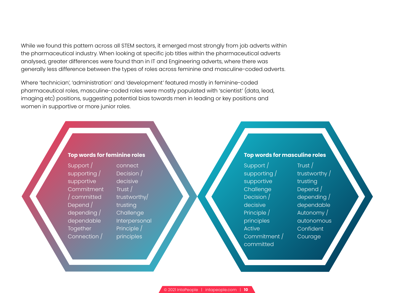While we found this pattern across all STEM sectors, it emerged most strongly from job adverts within the pharmaceutical industry. When looking at specific job titles within the pharmaceutical adverts analysed, greater differences were found than in IT and Engineering adverts, where there was generally less difference between the types of roles across feminine and masculine-coded adverts.

Where 'technician', 'administration' and 'development' featured mostly in feminine-coded pharmaceutical roles, masculine-coded roles were mostly populated with 'scientist' (data, lead, imaging etc) positions, suggesting potential bias towards men in leading or key positions and women in supportive or more junior roles.



Support / supporting / supportive Commitment / committed Depend / depending / dependable **Together** Connection /

connect Decision / decisive Trust / trustworthy/ trusting **Challenge** Interpersonal Principle / principles

### **Top words for masculine roles**

Support / supporting / supportive **Challenge** Decision / decisive Principle / principles Active Commitment / committed

Trust / trustworthy / trusting Depend / depending / dependable Autonomy / autonomous **Confident Courage**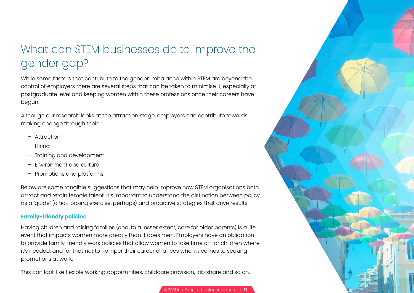# What can STEM businesses do to improve the gender gap?

While some factors that contribute to the gender imbalance within STEM are beyond the control of employers there are several steps that can be taken to minimise it, especially at postgraduate level and keeping women within these professions once their careers have begun.

Although our research looks at the attraction stage, employers can contribute towards making change through their:

- Attraction
- Hiring
- Training and development
- Environment and culture
- Promotions and platforms

Below are some tangible suggestions that may help improve how STEM organisations both attract and retain female talent. It's important to understand the distinction between policy as a 'guide' (a tick-boxing exercise, perhaps) and proactive strategies that drive results.

### **Family-friendly policies**

Having children and raising families (and, to a lesser extent, care for older parents) is a life event that impacts women more greatly than it does men. Employers have an obligation to provide family-friendly work policies that allow women to take time off for children where it's needed, and for that not to hamper their career chances when it comes to seeking promotions at work.

This can look like flexible working opportunities, childcare provision, job share and so on.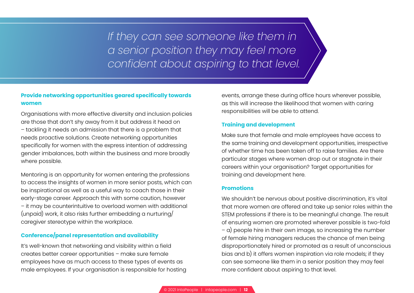*If they can see someone like them in a senior position they may feel more confident about aspiring to that level.*

### **Provide networking opportunities geared specifically towards women**

Organisations with more effective diversity and inclusion policies are those that don't shy away from it but address it head on – tackling it needs an admission that there is a problem that needs proactive solutions. Create networking opportunities specifically for women with the express intention of addressing gender imbalances, both within the business and more broadly where possible.

Mentoring is an opportunity for women entering the professions to access the insights of women in more senior posts, which can be inspirational as well as a useful way to coach those in their early-stage career. Approach this with some caution, however – it may be counterintuitive to overload women with additional (unpaid) work, it also risks further embedding a nurturing/ caregiver stereotype within the workplace.

### **Conference/panel representation and availability**

It's well-known that networking and visibility within a field creates better career opportunities – make sure female employees have as much access to these types of events as male employees. If your organisation is responsible for hosting

events, arrange these during office hours wherever possible, as this will increase the likelihood that women with caring responsibilities will be able to attend.

### **Training and development**

Make sure that female and male employees have access to the same training and development opportunities, irrespective of whether time has been taken off to raise families. Are there particular stages where women drop out or stagnate in their careers within your organisation? Target opportunities for training and development here.

### **Promotions**

We shouldn't be nervous about positive discrimination, it's vital that more women are offered and take up senior roles within the STEM professions if there is to be meaningful change. The result of ensuring women are promoted wherever possible is two-fold – a) people hire in their own image, so increasing the number of female hiring managers reduces the chance of men being disproportionately hired or promoted as a result of unconscious bias and b) it offers women inspiration via role models; if they can see someone like them in a senior position they may feel more confident about aspiring to that level.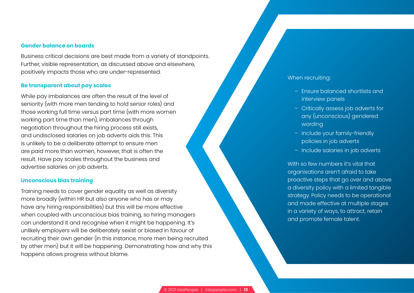#### **Gender balance on boards**

Business critical decisions are best made from a variety of standpoints. Further, visible representation, as discussed above and elsewhere, positively impacts those who are under-represented.

#### **Be transparent about pay scales**

While pay imbalances are often the result of the level of seniority (with more men tending to hold senior roles) and those working full time versus part time (with more women working part time than men), imbalances through negotiation throughout the hiring process still exists, and undisclosed salaries on job adverts aids this. This is unlikely to be a deliberate attempt to ensure men are paid more than women, however, that is often the result. Have pay scales throughout the business and advertise salaries on job adverts.

#### **Unconscious bias training**

Training needs to cover gender equality as well as diversity more broadly (within HR but also anyone who has or may have any hiring responsibilities) but this will be more effective when coupled with unconscious bias training, so hiring managers can understand it and recognise when it might be happening. It's unlikely employers will be deliberately sexist or biased in favour of recruiting their own gender (in this instance, more men being recruited by other men) but it will be happening. Demonstrating how and why this happens allows progress without blame.

### When recruiting:

- Ensure balanced shortlists and interview panels
- Critically assess job adverts for any (unconscious) gendered wording
- Include your family-friendly policies in job adverts
- Include salaries in job adverts

With so few numbers it's vital that organisations aren't afraid to take proactive steps that go over and above a diversity policy with a limited tangible strategy. Policy needs to be operational and made effective at multiple stages in a variety of ways, to attract, retain and promote female talent.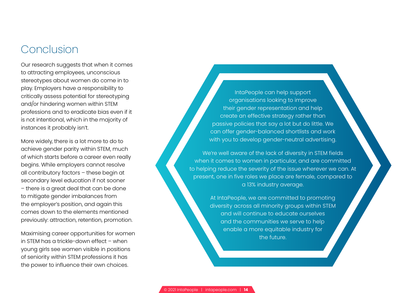### Conclusion

Our research suggests that when it comes to attracting employees, unconscious stereotypes about women do come in to play. Employers have a responsibility to critically assess potential for stereotyping and/or hindering women within STEM professions and to eradicate bias even if it is not intentional, which in the majority of instances it probably isn't.

More widely, there is a lot more to do to achieve gender parity within STEM, much of which starts before a career even really begins. While employers cannot resolve all contributory factors – these begin at secondary level education if not sooner – there is a great deal that can be done to mitigate gender imbalances from the employer's position, and again this comes down to the elements mentioned previously: attraction, retention, promotion.

Maximising career opportunities for women in STEM has a trickle-down effect – when young girls see women visible in positions of seniority within STEM professions it has the power to influence their own choices.

IntaPeople can help support organisations looking to improve their gender representation and help create an effective strategy rather than passive policies that say a lot but do little. We can offer gender-balanced shortlists and work with you to develop gender-neutral advertising.

We're well aware of the lack of diversity in STEM fields when it comes to women in particular, and are committed to helping reduce the severity of the issue wherever we can. At present, one in five roles we place are female, compared to a 13% industry average.

> At IntaPeople, we are committed to promoting diversity across all minority groups within STEM and will continue to educate ourselves and the communities we serve to help enable a more equitable industry for the future.